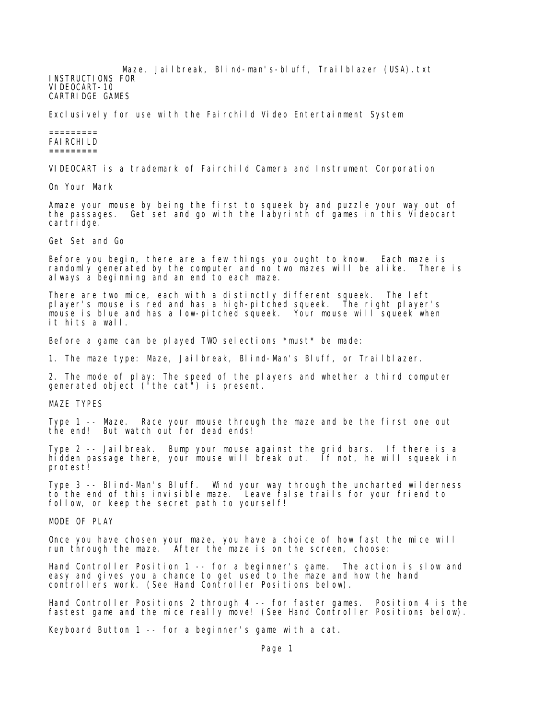Maze, Jailbreak, Blind-man's-bluff, Trailblazer (USA).txt INSTRUCTIONS FOR VIDEOCART-10 CARTRIDGE GAMES

Exclusively for use with the Fairchild Video Entertainment System

## ========= FAIRCHILD =========

VIDEOCART is a trademark of Fairchild Camera and Instrument Corporation

On Your Mark

Amaze your mouse by being the first to squeek by and puzzle your way out of the passages. Get set and go with the labyrinth of games in this Videocart cartridge.

Get Set and Go

Before you begin, there are a few things you ought to know. Each maze is randomly generated by the computer and no two mazes will be alike. There is always a beginning and an end to each maze.

There are two mice, each with a distinctly different squeek. The left player's mouse is red and has a high-pitched squeek. The right player's mouse is blue and has a low-pitched squeek. Your mouse will squeek when it hits a wall.

Before a game can be played TWO selections \*must\* be made:

1. The maze type: Maze, Jailbreak, Blind-Man's Bluff, or Trailblazer.

2. The mode of play: The speed of the players and whether a third computer generated object ("the cat") is present.

MAZE TYPES

Type 1 -- Maze. Race your mouse through the maze and be the first one out the end! But watch out for dead ends!

Type 2 -- Jailbreak. Bump your mouse against the grid bars. If there is a hidden passage there, your mouse will break out. If not, he will squeek in protest!

Type 3 -- Blind-Man's Bluff. Wind your way through the uncharted wilderness to the end of this invisible maze. Leave false trails for your friend to follow, or keep the secret path to yourself!

MODE OF PLAY

Once you have chosen your maze, you have a choice of how fast the mice will run through the maze. After the maze is on the screen, choose:

Hand Controller Position 1 -- for a beginner's game. The action is slow and easy and gives you a chance to get used to the maze and how the hand controllers work. (See Hand Controller Positions below).

Hand Controller Positions 2 through 4 -- for faster games. Position 4 is the fastest game and the mice really move! (See Hand Controller Positions below).

Keyboard Button 1 -- for a beginner's game with a cat.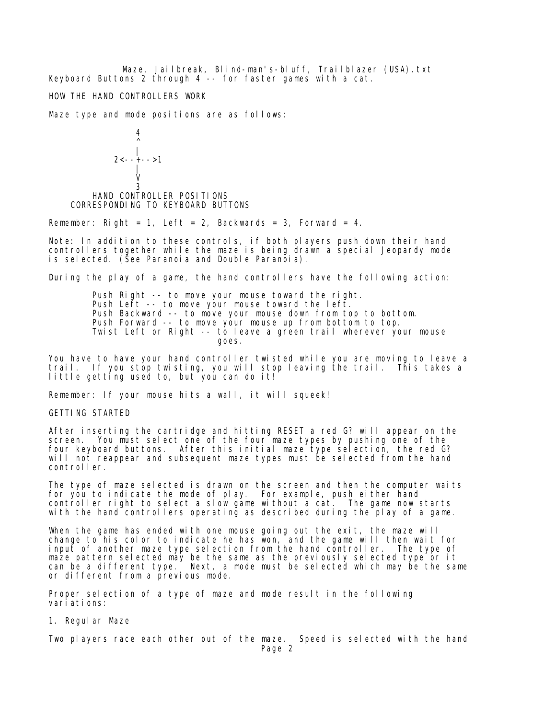Maze, Jailbreak, Blind-man's-bluff, Trailblazer (USA).txt Keyboard Buttons 2 through 4 -- for faster games with a cat.

HOW THE HAND CONTROLLERS WORK

Maze type and mode positions are as follows:

 4  $\sim$   $\sim$  |  $2 < - + - - > 1$  | **View Strategies (View Strategies Strategies)**  3 HAND CONTROLLER POSITIONS CORRESPONDING TO KEYBOARD BUTTONS

Remember: Right = 1, Left = 2, Backwards = 3, Forward = 4.

Note: In addition to these controls, if both players push down their hand controllers together while the maze is being drawn a special Jeopardy mode is selected. (See Paranoia and Double Paranoia).

During the play of a game, the hand controllers have the following action:

 Push Right -- to move your mouse toward the right. Push Left  $-$  to move your mouse toward the left. Push Backward -- to move your mouse down from top to bottom. Push Forward -- to move your mouse up from bottom to top. Twist Left or Right -- to leave a green trail wherever your mouse goes.

You have to have your hand controller twisted while you are moving to leave a trail. If you stop twisting, you will stop leaving the trail. This takes a little getting used to, but you can do it!

Remember: If your mouse hits a wall, it will squeek!

GETTING STARTED

After inserting the cartridge and hitting RESET a red G? will appear on the screen. You must select one of the four maze types by pushing one of the four keyboard buttons. After this initial maze type selection, the red G? will not reappear and subsequent maze types must be selected from the hand controller.

The type of maze selected is drawn on the screen and then the computer waits for you to indicate the mode of play. For example, push either hand controller right to select a slow game without a cat. The game now starts with the hand controllers operating as described during the play of a game.

When the game has ended with one mouse going out the exit, the maze will change to his color to indicate he has won, and the game will then wait for input of another maze type selection from the hand controller. The type of maze pattern selected may be the same as the previously selected type or it can be a different type. Next, a mode must be selected which may be the same or different from a previous mode.

Proper selection of a type of maze and mode result in the following variations:

1. Regular Maze

Two players race each other out of the maze. Speed is selected with the hand Page 2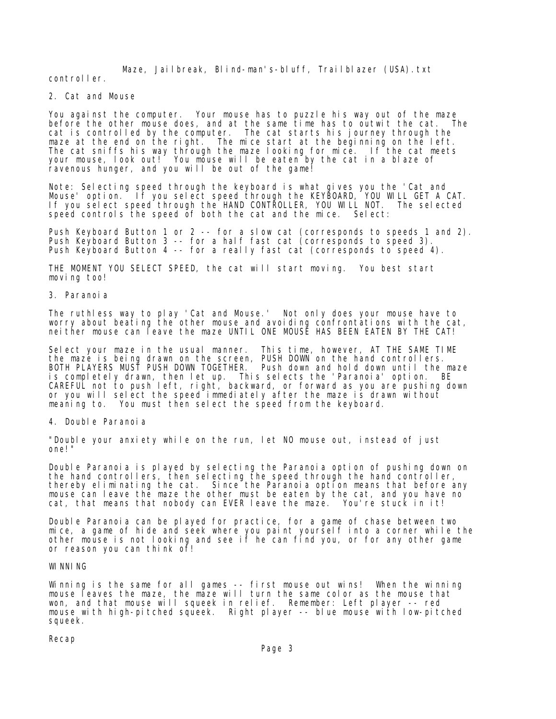Maze, Jailbreak, Blind-man's-bluff, Trailblazer (USA).txt

controller.

2. Cat and Mouse

You against the computer. Your mouse has to puzzle his way out of the maze before the other mouse does, and at the same time has to outwit the cat. The cat is controlled by the computer. The cat starts his journey through the maze at the end on the right. The mice start at the beginning on the left. The cat sniffs his way through the maze looking for mice. If the cat meets your mouse, look out! You mouse will be eaten by the cat in a blaze of ravenous hunger, and you will be out of the game!

Note: Selecting speed through the keyboard is what gives you the 'Cat and Mouse' option. If you select speed through the KEYBOARD, YOU WILL GET A CAT. If you select speed through the HAND CONTROLLER, YOU WILL NOT. The selected speed controls the speed of both the cat and the mice. Select:

Push Keyboard Button 1 or 2 -- for a slow cat (corresponds to speeds 1 and 2). Push Keyboard Button 3 -- for a half fast cat (corresponds to speed 3). Push Keyboard Button 4 -- for a really fast cat (corresponds to speed 4).

THE MOMENT YOU SELECT SPEED, the cat will start moving. You best start moving too!

3. Paranoia

The ruthless way to play 'Cat and Mouse.' Not only does your mouse have to worry about beating the other mouse and avoiding confrontations with the cat, neither mouse can leave the maze UNTIL ONE MOUSE HAS BEEN EATEN BY THE CAT!

Select your maze in the usual manner. This time, however, AT THE SAME TIME the maze is being drawn on the screen, PUSH DOWN on the hand controllers. BOTH PLAYERS MUST PUSH DOWN TOGETHER. Push down and hold down until the maze is completely drawn, then let up. This selects the 'Paranoia' option. BE CAREFUL not to push left, right, backward, or forward as you are pushing down or you will select the speed immediately after the maze is drawn without meaning to. You must then select the speed from the keyboard.

4. Double Paranoia

"Double your anxiety while on the run, let NO mouse out, instead of just one!"

Double Paranoia is played by selecting the Paranoia option of pushing down on the hand controllers, then selecting the speed through the hand controller, thereby eliminating the cat. Since the Paranoia option means that before any mouse can leave the maze the other must be eaten by the cat, and you have no cat, that means that nobody can EVER leave the maze. You're stuck in it!

Double Paranoia can be played for practice, for a game of chase between two mice, a game of hide and seek where you paint yourself into a corner while the other mouse is not looking and see if he can find you, or for any other game or reason you can think of!

## WI NNI NG

Winning is the same for all games -- first mouse out wins! When the winning mouse leaves the maze, the maze will turn the same color as the mouse that won, and that mouse will squeek in relief. Remember: Left player -- red mouse with high-pitched squeek. Right player -- blue mouse with low-pitched squeek.

Recap